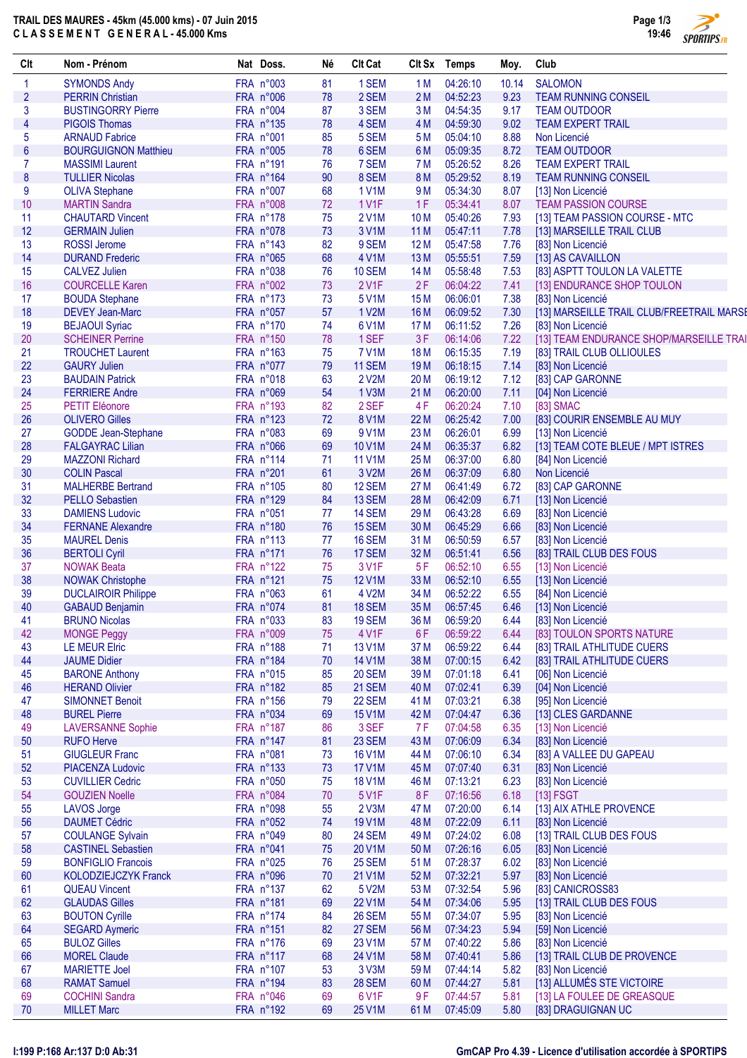

| Clt            | Nom - Prénom                                  | Nat Doss. | Né | <b>Clt Cat</b> |                 | Clt Sx Temps | Moy.  | Club                                            |
|----------------|-----------------------------------------------|-----------|----|----------------|-----------------|--------------|-------|-------------------------------------------------|
| 1              | <b>SYMONDS Andy</b>                           | FRA n°003 | 81 | 1 SEM          | 1 M             | 04:26:10     | 10.14 | <b>SALOMON</b>                                  |
| $\overline{2}$ | <b>PERRIN Christian</b>                       | FRA n°006 | 78 | 2 SEM          | 2M              | 04:52:23     | 9.23  | <b>TEAM RUNNING CONSEIL</b>                     |
| 3              | <b>BUSTINGORRY Pierre</b>                     | FRA n°004 | 87 | 3 SEM          | 3M              | 04:54:35     | 9.17  | <b>TEAM OUTDOOR</b>                             |
| 4              | <b>PIGOIS Thomas</b>                          | FRA n°135 | 78 | 4 SEM          | 4 M             | 04:59:30     | 9.02  | <b>TEAM EXPERT TRAIL</b>                        |
| 5              | <b>ARNAUD Fabrice</b>                         | FRA n°001 | 85 | 5 SEM          | 5 M             | 05:04:10     | 8.88  | Non Licencié                                    |
| 6              | <b>BOURGUIGNON Matthieu</b>                   | FRA n°005 | 78 | 6 SEM          | 6 M             | 05:09:35     | 8.72  | <b>TEAM OUTDOOR</b>                             |
| 7              | <b>MASSIMI Laurent</b>                        | FRA n°191 | 76 | 7 SEM          | 7 M             | 05:26:52     | 8.26  | <b>TEAM EXPERT TRAIL</b>                        |
| $\bf 8$        | <b>TULLIER Nicolas</b>                        | FRA n°164 | 90 | 8 SEM          | 8 M             | 05:29:52     | 8.19  | <b>TEAM RUNNING CONSEIL</b>                     |
| 9              |                                               | FRA n°007 | 68 | <b>1 V1M</b>   | 9 M             | 05:34:30     | 8.07  |                                                 |
|                | <b>OLIVA Stephane</b><br><b>MARTIN Sandra</b> | FRA n°008 |    |                |                 | 05:34:41     |       | [13] Non Licencié<br><b>TEAM PASSION COURSE</b> |
| 10             |                                               |           | 72 | 1 V1F          | 1F              |              | 8.07  |                                                 |
| 11             | <b>CHAUTARD Vincent</b>                       | FRA n°178 | 75 | 2 V1M          | 10 <sub>M</sub> | 05:40:26     | 7.93  | [13] TEAM PASSION COURSE - MTC                  |
| 12             | <b>GERMAIN Julien</b>                         | FRA n°078 | 73 | 3 V1M          | 11M             | 05:47:11     | 7.78  | [13] MARSEILLE TRAIL CLUB                       |
| 13             | <b>ROSSI Jerome</b>                           | FRA n°143 | 82 | 9 SEM          | 12M             | 05:47:58     | 7.76  | [83] Non Licencié                               |
| 14             | <b>DURAND Frederic</b>                        | FRA n°065 | 68 | 4 V1M          | 13M             | 05:55:51     | 7.59  | [13] AS CAVAILLON                               |
| 15             | <b>CALVEZ Julien</b>                          | FRA n°038 | 76 | <b>10 SEM</b>  | 14 M            | 05:58:48     | 7.53  | [83] ASPTT TOULON LA VALETTE                    |
| 16             | <b>COURCELLE Karen</b>                        | FRA n°002 | 73 | 2 V1F          | 2F              | 06:04:22     | 7.41  | [13] ENDURANCE SHOP TOULON                      |
| 17             | <b>BOUDA Stephane</b>                         | FRA n°173 | 73 | 5 V1M          | 15M             | 06:06:01     | 7.38  | [83] Non Licencié                               |
| 18             | <b>DEVEY Jean-Marc</b>                        | FRA n°057 | 57 | 1 V2M          | 16 M            | 06:09:52     | 7.30  | [13] MARSEILLE TRAIL CLUB/FREETRAIL MARSE       |
| 19             | <b>BEJAOUI Syriac</b>                         | FRA n°170 | 74 | 6 V1M          | 17 M            | 06:11:52     | 7.26  | [83] Non Licencié                               |
| 20             | <b>SCHEINER Perrine</b>                       | FRA n°150 | 78 | 1 SEF          | 3F              | 06:14:06     | 7.22  | [13] TEAM ENDURANCE SHOP/MARSEILLE TRAI         |
| 21             | <b>TROUCHET Laurent</b>                       | FRA n°163 | 75 | <b>7 V1M</b>   | 18 M            | 06:15:35     | 7.19  | [83] TRAIL CLUB OLLIOULES                       |
| 22             | <b>GAURY Julien</b>                           | FRA n°077 | 79 | 11 SEM         | 19M             | 06:18:15     | 7.14  | [83] Non Licencié                               |
| 23             | <b>BAUDAIN Patrick</b>                        | FRA n°018 | 63 | 2 V2M          | 20 M            | 06:19:12     | 7.12  | [83] CAP GARONNE                                |
|                |                                               |           |    |                |                 |              |       |                                                 |
| 24             | <b>FERRIERE Andre</b>                         | FRA n°069 | 54 | 1 V3M          | 21 M            | 06:20:00     | 7.11  | [04] Non Licencié                               |
| 25             | <b>PETIT Eléonore</b>                         | FRA n°193 | 82 | 2 SEF          | 4F              | 06:20:24     | 7.10  | [83] SMAC                                       |
| 26             | <b>OLIVERO Gilles</b>                         | FRA n°123 | 72 | 8 V1M          | 22 M            | 06:25:42     | 7.00  | [83] COURIR ENSEMBLE AU MUY                     |
| 27             | <b>GODDE Jean-Stephane</b>                    | FRA n°083 | 69 | 9 V1M          | 23 M            | 06:26:01     | 6.99  | [13] Non Licencié                               |
| 28             | <b>FALGAYRAC Lilian</b>                       | FRA n°066 | 69 | 10 V1M         | 24 M            | 06:35:37     | 6.82  | [13] TEAM COTE BLEUE / MPT ISTRES               |
| 29             | <b>MAZZONI Richard</b>                        | FRA n°114 | 71 | <b>11 V1M</b>  | 25 M            | 06:37:00     | 6.80  | [84] Non Licencié                               |
| 30             | <b>COLIN Pascal</b>                           | FRA n°201 | 61 | 3 V2M          | 26 M            | 06:37:09     | 6.80  | Non Licencié                                    |
| 31             | <b>MALHERBE Bertrand</b>                      | FRA n°105 | 80 | 12 SEM         | 27 M            | 06:41:49     | 6.72  | [83] CAP GARONNE                                |
| 32             | <b>PELLO Sebastien</b>                        | FRA n°129 | 84 | 13 SEM         | 28 M            | 06:42:09     | 6.71  | [13] Non Licencié                               |
| 33             | <b>DAMIENS Ludovic</b>                        | FRA n°051 | 77 | <b>14 SEM</b>  | 29 M            | 06:43:28     | 6.69  | [83] Non Licencié                               |
| 34             | <b>FERNANE Alexandre</b>                      | FRA n°180 | 76 | <b>15 SEM</b>  | 30 M            | 06:45:29     | 6.66  | [83] Non Licencié                               |
| 35             | <b>MAUREL Denis</b>                           | FRA n°113 | 77 | <b>16 SEM</b>  | 31 M            | 06:50:59     | 6.57  | [83] Non Licencié                               |
| 36             | <b>BERTOLI Cyril</b>                          | FRA n°171 | 76 | 17 SEM         | 32 M            | 06:51:41     | 6.56  | [83] TRAIL CLUB DES FOUS                        |
| 37             | <b>NOWAK Beata</b>                            | FRA n°122 | 75 | 3 V1F          | 5F              | 06:52:10     | 6.55  | [13] Non Licencié                               |
| 38             |                                               |           |    | <b>12 V1M</b>  |                 |              |       |                                                 |
|                | <b>NOWAK Christophe</b>                       | FRA n°121 | 75 |                | 33 M            | 06:52:10     | 6.55  | [13] Non Licencié                               |
| 39             | <b>DUCLAIROIR Philippe</b>                    | FRA n°063 | 61 | 4 V2M          | 34 M            | 06:52:22     | 6.55  | [84] Non Licencié                               |
| 40             | <b>GABAUD Benjamin</b>                        | FRA n°074 | 81 | 18 SEM         | 35 M            | 06:57:45     | 6.46  | [13] Non Licencié                               |
| 41             | <b>BRUNO Nicolas</b>                          | FRA n°033 | 83 | <b>19 SEM</b>  | 36 M            | 06:59:20     | 6.44  | [83] Non Licencié                               |
| 42             | <b>MONGE Peggy</b>                            | FRA n°009 | 75 | 4 V1F          | 6F              | 06:59:22     | 6.44  | [83] TOULON SPORTS NATURE                       |
| 43             | LE MEUR Elric                                 | FRA n°188 | 71 | 13 V1M         | 37 M            | 06:59:22     | 6.44  | [83] TRAIL ATHLITUDE CUERS                      |
| 44             | <b>JAUME Didier</b>                           | FRA n°184 | 70 | <b>14 V1M</b>  | 38 M            | 07:00:15     | 6.42  | [83] TRAIL ATHLITUDE CUERS                      |
| 45             | <b>BARONE Anthony</b>                         | FRA n°015 | 85 | <b>20 SEM</b>  | 39 M            | 07:01:18     | 6.41  | [06] Non Licencié                               |
| 46             | <b>HERAND Olivier</b>                         | FRA n°182 | 85 | 21 SEM         | 40 M            | 07:02:41     | 6.39  | [04] Non Licencié                               |
| 47             | <b>SIMONNET Benoit</b>                        | FRA n°156 | 79 | 22 SEM         | 41 M            | 07:03:21     | 6.38  | [95] Non Licencié                               |
| 48             | <b>BUREL Pierre</b>                           | FRA n°034 | 69 | 15 V1M         | 42 M            | 07:04:47     | 6.36  | [13] CLES GARDANNE                              |
| 49             | <b>LAVERSANNE Sophie</b>                      | FRA n°187 | 86 | 3 SEF          | 7 F             | 07:04:58     | 6.35  | [13] Non Licencié                               |
| 50             | <b>RUFO Herve</b>                             | FRA n°147 | 81 | 23 SEM         | 43 M            | 07:06:09     | 6.34  | [83] Non Licencié                               |
| 51             | <b>GIUGLEUR Franc</b>                         | FRA n°081 | 73 | <b>16 V1M</b>  | 44 M            | 07:06:10     | 6.34  | [83] A VALLEE DU GAPEAU                         |
| 52             | <b>PIACENZA Ludovic</b>                       | FRA n°133 | 73 | <b>17 V1M</b>  | 45 M            | 07:07:40     | 6.31  | [83] Non Licencié                               |
|                |                                               | FRA n°050 |    |                |                 | 07:13:21     | 6.23  |                                                 |
| 53             | <b>CUVILLIER Cedric</b>                       |           | 75 | 18 V1M         | 46 M            |              |       | [83] Non Licencié                               |
| 54             | <b>GOUZIEN Noelle</b>                         | FRA n°084 | 70 | 5 V1F          | 8F              | 07:16:56     | 6.18  | $[13]$ FSGT                                     |
| 55             | <b>LAVOS Jorge</b>                            | FRA n°098 | 55 | 2 V3M          | 47 M            | 07:20:00     | 6.14  | [13] AIX ATHLE PROVENCE                         |
| 56             | <b>DAUMET Cédric</b>                          | FRA n°052 | 74 | 19 V1M         | 48 M            | 07:22:09     | 6.11  | [83] Non Licencié                               |
| 57             | <b>COULANGE Sylvain</b>                       | FRA n°049 | 80 | <b>24 SEM</b>  | 49 M            | 07:24:02     | 6.08  | [13] TRAIL CLUB DES FOUS                        |
| 58             | <b>CASTINEL Sebastien</b>                     | FRA n°041 | 75 | 20 V1M         | 50 M            | 07:26:16     | 6.05  | [83] Non Licencié                               |
| 59             | <b>BONFIGLIO Francois</b>                     | FRA n°025 | 76 | <b>25 SEM</b>  | 51 M            | 07:28:37     | 6.02  | [83] Non Licencié                               |
| 60             | <b>KOLODZIEJCZYK Franck</b>                   | FRA n°096 | 70 | 21 V1M         | 52 M            | 07:32:21     | 5.97  | [83] Non Licencié                               |
| 61             | <b>QUEAU Vincent</b>                          | FRA n°137 | 62 | 5 V2M          | 53 M            | 07:32:54     | 5.96  | [83] CANICROSS83                                |
| 62             | <b>GLAUDAS Gilles</b>                         | FRA n°181 | 69 | 22 V1M         | 54 M            | 07:34:06     | 5.95  | [13] TRAIL CLUB DES FOUS                        |
| 63             | <b>BOUTON Cyrille</b>                         | FRA n°174 | 84 | <b>26 SEM</b>  | 55 M            | 07:34:07     | 5.95  | [83] Non Licencié                               |
| 64             | <b>SEGARD Aymeric</b>                         | FRA n°151 | 82 | 27 SEM         | 56 M            | 07:34:23     | 5.94  | [59] Non Licencié                               |
| 65             | <b>BULOZ Gilles</b>                           | FRA n°176 | 69 | 23 V1M         | 57 M            | 07:40:22     | 5.86  | [83] Non Licencié                               |
| 66             | <b>MOREL Claude</b>                           | FRA n°117 | 68 | 24 V1M         | 58 M            | 07:40:41     | 5.86  | [13] TRAIL CLUB DE PROVENCE                     |
|                |                                               |           |    |                |                 |              |       |                                                 |
| 67             | <b>MARIETTE Joel</b>                          | FRA n°107 | 53 | 3 V3M          | 59 M            | 07:44:14     | 5.82  | [83] Non Licencié                               |
| 68             | <b>RAMAT Samuel</b>                           | FRA n°194 | 83 | <b>28 SEM</b>  | 60 M            | 07:44:27     | 5.81  | [13] ALLUMÉS STE VICTOIRE                       |
| 69             | <b>COCHINI Sandra</b>                         | FRA n°046 | 69 | 6 V1F          | 9F              | 07:44:57     | 5.81  | [13] LA FOULEE DE GREASQUE                      |
| 70             | <b>MILLET Marc</b>                            | FRA n°192 | 69 | 25 V1M         | 61 M            | 07:45:09     | 5.80  | [83] DRAGUIGNAN UC                              |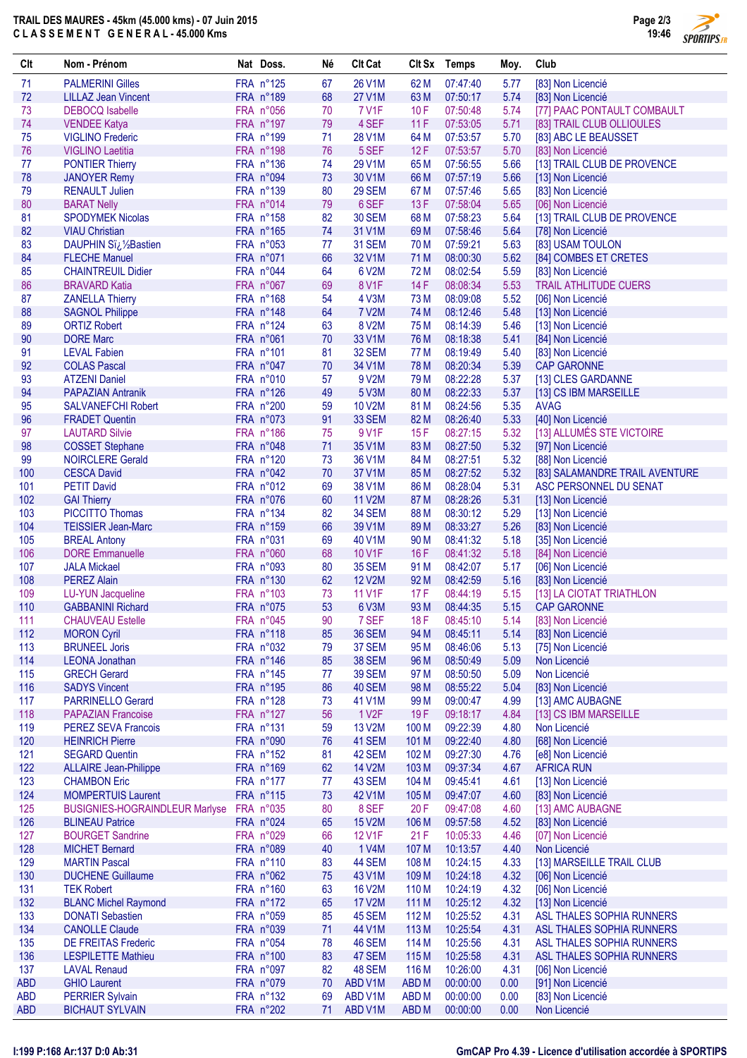**BICHAUT SYLVAIN** 

## **TRAIL DES MAURES - 45km (45.000 kms) - 07 Juin 2015 C L A S S E M E N T G E N E R A L - 45.000 Kms**

Clt Nom - Prénom **Nat Doss.** Né Clt Cat Clt Sx Temps Moy. Club

71 PALMERINI Gilles FRA n°125 67 26 V1M 62 M 07:47:40 5.77 [83] Non Licencié 72 LILLAZ Jean Vincent FRA n°189 68 27 V1M 63 M 07:50:17 5.74 [83] Non Licencié

| 73         | <b>DEBOCQ Isabelle</b>                | FRA n°056   | 70 | 7 V1F              | 10F              | 07:50:48 | 5.74 | [77] PAAC PONTAULT COMBAULT    |
|------------|---------------------------------------|-------------|----|--------------------|------------------|----------|------|--------------------------------|
| 74         | <b>VENDEE Katya</b>                   | FRA n°197   | 79 | 4 SEF              | 11F              | 07:53:05 | 5.71 | [83] TRAIL CLUB OLLIOULES      |
| 75         | <b>VIGLINO Frederic</b>               | FRA n°199   | 71 | 28 V1M             | 64 M             | 07:53:57 | 5.70 | [83] ABC LE BEAUSSET           |
| 76         | <b>VIGLINO Laetitia</b>               | FRA n°198   | 76 | 5 SEF              | 12F              | 07:53:57 | 5.70 | [83] Non Licencié              |
|            |                                       |             |    |                    |                  |          |      |                                |
| 77         | <b>PONTIER Thierry</b>                | FRA n°136   | 74 | 29 V1M             | 65 M             | 07:56:55 | 5.66 | [13] TRAIL CLUB DE PROVENCE    |
| 78         | <b>JANOYER Remy</b>                   | FRA n°094   | 73 | 30 V1M             | 66 M             | 07:57:19 | 5.66 | [13] Non Licencié              |
| 79         | <b>RENAULT Julien</b>                 | FRA n°139   | 80 | <b>29 SEM</b>      | 67 M             | 07:57:46 | 5.65 | [83] Non Licencié              |
| 80         | <b>BARAT Nelly</b>                    | FRA n°014   | 79 | 6 SEF              | 13F              | 07:58:04 | 5.65 | [06] Non Licencié              |
| 81         | <b>SPODYMEK Nicolas</b>               | FRA n°158   | 82 | <b>30 SEM</b>      | 68 M             | 07:58:23 | 5.64 | [13] TRAIL CLUB DE PROVENCE    |
| 82         | <b>VIAU Christian</b>                 | FRA n°165   | 74 | 31 V1M             | 69 M             | 07:58:46 | 5.64 | [78] Non Licencié              |
|            |                                       |             |    |                    |                  |          |      |                                |
| 83         | DAUPHIN Sï¿1/2Bastien                 | FRA n°053   | 77 | <b>31 SEM</b>      | 70 M             | 07:59:21 | 5.63 | [83] USAM TOULON               |
| 84         | <b>FLECHE Manuel</b>                  | FRA n°071   | 66 | 32 V1M             | 71 M             | 08:00:30 | 5.62 | [84] COMBES ET CRETES          |
| 85         | <b>CHAINTREUIL Didier</b>             | FRA n°044   | 64 | 6 V2M              | 72 M             | 08:02:54 | 5.59 | [83] Non Licencié              |
| 86         | <b>BRAVARD Katia</b>                  | FRA n°067   | 69 | 8 V1F              | <b>14 F</b>      | 08:08:34 | 5.53 | <b>TRAIL ATHLITUDE CUERS</b>   |
| 87         | <b>ZANELLA Thierry</b>                | FRA n°168   | 54 | 4 V3M              | 73 M             | 08:09:08 | 5.52 | [06] Non Licencié              |
| 88         | <b>SAGNOL Philippe</b>                | FRA n°148   | 64 | 7 V2M              | 74 M             | 08:12:46 | 5.48 | [13] Non Licencié              |
| 89         | <b>ORTIZ Robert</b>                   | FRA n°124   | 63 | 8 V2M              | 75 M             | 08:14:39 | 5.46 |                                |
|            |                                       |             |    |                    |                  |          |      | [13] Non Licencié              |
| 90         | <b>DORE Marc</b>                      | FRA n°061   | 70 | 33 V1M             | 76 M             | 08:18:38 | 5.41 | [84] Non Licencié              |
| 91         | <b>LEVAL Fabien</b>                   | FRA n°101   | 81 | 32 SEM             | 77 M             | 08:19:49 | 5.40 | [83] Non Licencié              |
| 92         | <b>COLAS Pascal</b>                   | FRA n°047   | 70 | 34 V1M             | 78 M             | 08:20:34 | 5.39 | <b>CAP GARONNE</b>             |
| 93         | <b>ATZENI Daniel</b>                  | FRA n°010   | 57 | 9 V2M              | 79 M             | 08:22:28 | 5.37 | [13] CLES GARDANNE             |
| 94         | <b>PAPAZIAN Antranik</b>              | FRA n°126   | 49 | 5 V3M              | 80 M             | 08:22:33 | 5.37 | [13] CS IBM MARSEILLE          |
|            | <b>SALVANEFCHI Robert</b>             |             |    |                    |                  |          |      | <b>AVAG</b>                    |
| 95         |                                       | FRA n°200   | 59 | <b>10 V2M</b>      | 81 M             | 08:24:56 | 5.35 |                                |
| 96         | <b>FRADET Quentin</b>                 | FRA n°073   | 91 | 33 SEM             | 82 M             | 08:26:40 | 5.33 | [40] Non Licencié              |
| 97         | <b>LAUTARD Silvie</b>                 | FRA n°186   | 75 | 9 V1F              | 15F              | 08:27:15 | 5.32 | [13] ALLUMÉS STE VICTOIRE      |
| 98         | <b>COSSET Stephane</b>                | FRA n°048   | 71 | 35 V1M             | 83 M             | 08:27:50 | 5.32 | [97] Non Licencié              |
| 99         | <b>NOIRCLERE Gerald</b>               | FRA n°120   | 73 | 36 V1M             | 84 M             | 08:27:51 | 5.32 | [88] Non Licencié              |
| 100        | <b>CESCA David</b>                    | FRA n°042   | 70 | 37 V1M             | 85 M             | 08:27:52 | 5.32 | [83] SALAMANDRE TRAIL AVENTURE |
| 101        | <b>PETIT David</b>                    | FRA n°012   | 69 | 38 V1M             | 86 M             | 08:28:04 | 5.31 | ASC PERSONNEL DU SENAT         |
|            |                                       |             |    |                    |                  |          |      |                                |
| 102        | <b>GAI Thierry</b>                    | FRA n°076   | 60 | <b>11 V2M</b>      | 87 M             | 08:28:26 | 5.31 | [13] Non Licencié              |
| 103        | <b>PICCITTO Thomas</b>                | FRA n°134   | 82 | <b>34 SEM</b>      | 88 M             | 08:30:12 | 5.29 | [13] Non Licencié              |
| 104        | <b>TEISSIER Jean-Marc</b>             | FRA n°159   | 66 | 39 V1M             | 89 M             | 08:33:27 | 5.26 | [83] Non Licencié              |
| 105        | <b>BREAL Antony</b>                   | FRA n°031   | 69 | 40 V1M             | 90 M             | 08:41:32 | 5.18 | [35] Non Licencié              |
| 106        | <b>DORE Emmanuelle</b>                | FRA n°060   | 68 | 10 V1F             | 16F              | 08:41:32 | 5.18 | [84] Non Licencié              |
| 107        | <b>JALA Mickael</b>                   | FRA n°093   | 80 | <b>35 SEM</b>      | 91 M             | 08:42:07 | 5.17 | [06] Non Licencié              |
|            |                                       | FRA n°130   |    |                    |                  |          |      |                                |
| 108        | <b>PEREZ Alain</b>                    |             | 62 | <b>12 V2M</b>      | 92 M             | 08:42:59 | 5.16 | [83] Non Licencié              |
| 109        | <b>LU-YUN Jacqueline</b>              | FRA n°103   | 73 | 11 V1F             | 17F              | 08:44:19 | 5.15 | [13] LA CIOTAT TRIATHLON       |
| 110        | <b>GABBANINI Richard</b>              | FRA n°075   | 53 | 6 V3M              | 93 M             | 08:44:35 | 5.15 | <b>CAP GARONNE</b>             |
| 111        | <b>CHAUVEAU Estelle</b>               | FRA n°045   | 90 | 7 SEF              | 18F              | 08:45:10 | 5.14 | [83] Non Licencié              |
| 112        | <b>MORON Cyril</b>                    | FRA n°118   | 85 | <b>36 SEM</b>      | 94 M             | 08:45:11 | 5.14 | [83] Non Licencié              |
| 113        | <b>BRUNEEL Joris</b>                  | FRA n°032   | 79 | 37 SEM             | 95 M             | 08:46:06 | 5.13 | [75] Non Licencié              |
| 114        | <b>LEONA</b> Jonathan                 | FRA n°146   | 85 | <b>38 SEM</b>      | 96 M             | 08:50:49 | 5.09 | Non Licencié                   |
|            |                                       |             |    |                    |                  |          |      |                                |
| 115        | <b>GRECH Gerard</b>                   | $FRA$ n°145 | 77 | 39 SEM             | 97 M             | 08:50:50 | 5.09 | Non Licencié                   |
| 116        | <b>SADYS Vincent</b>                  | FRA n°195   | 86 | 40 SEM             | 98 M             | 08:55:22 | 5.04 | [83] Non Licencié              |
| 117        | <b>PARRINELLO Gerard</b>              | FRA n°128   | 73 | 41 V1M             | 99 M             | 09:00:47 | 4.99 | [13] AMC AUBAGNE               |
| 118        | <b>PAPAZIAN Francoise</b>             | FRA n°127   | 56 | 1 V <sub>2</sub> F | 19F              | 09:18:17 | 4.84 | [13] CS IBM MARSEILLE          |
| 119        | <b>PEREZ SEVA Francois</b>            | FRA n°131   | 59 | 13 V2M             | 100 M            | 09:22:39 | 4.80 | Non Licencié                   |
| 120        | <b>HEINRICH Pierre</b>                | FRA n°090   | 76 | 41 SEM             | 101 <sub>M</sub> | 09:22:40 | 4.80 | [68] Non Licencié              |
|            |                                       |             |    |                    |                  |          |      |                                |
| 121        | <b>SEGARD Quentin</b>                 | FRA n°152   | 81 | 42 SEM             | 102 M            | 09:27:30 | 4.76 | [e8] Non Licencié              |
| 122        | <b>ALLAIRE</b> Jean-Philippe          | FRA n°169   | 62 | <b>14 V2M</b>      | 103 M            | 09:37:34 | 4.67 | <b>AFRICA RUN</b>              |
| 123        | <b>CHAMBON Eric</b>                   | FRA n°177   | 77 | 43 SEM             | 104 M            | 09:45:41 | 4.61 | [13] Non Licencié              |
| 124        | <b>MOMPERTUIS Laurent</b>             | FRA n°115   | 73 | 42 V1M             | 105 <sub>M</sub> | 09:47:07 | 4.60 | [83] Non Licencié              |
| 125        | <b>BUSIGNIES-HOGRAINDLEUR Marlyse</b> | FRA n°035   | 80 | 8 SEF              | 20F              | 09:47:08 | 4.60 | [13] AMC AUBAGNE               |
| 126        | <b>BLINEAU Patrice</b>                | FRA n°024   | 65 | 15 V2M             | 106 M            | 09:57:58 | 4.52 | [83] Non Licencié              |
| 127        |                                       | FRA n°029   | 66 | <b>12 V1F</b>      | 21F              | 10:05:33 | 4.46 | [07] Non Licencié              |
|            | <b>BOURGET Sandrine</b>               |             |    |                    |                  |          |      |                                |
| 128        | <b>MICHET Bernard</b>                 | FRA n°089   | 40 | 1 V4M              | 107 M            | 10:13:57 | 4.40 | Non Licencié                   |
| 129        | <b>MARTIN Pascal</b>                  | FRA n°110   | 83 | 44 SEM             | 108 M            | 10:24:15 | 4.33 | [13] MARSEILLE TRAIL CLUB      |
| 130        | <b>DUCHENE Guillaume</b>              | FRA n°062   | 75 | 43 V1M             | 109 M            | 10:24:18 | 4.32 | [06] Non Licencié              |
| 131        | <b>TEK Robert</b>                     | FRA n°160   | 63 | <b>16 V2M</b>      | 110 <sub>M</sub> | 10:24:19 | 4.32 | [06] Non Licencié              |
| 132        | <b>BLANC Michel Raymond</b>           | FRA n°172   | 65 | <b>17 V2M</b>      | 111M             | 10:25:12 | 4.32 | [13] Non Licencié              |
| 133        | <b>DONATI Sebastien</b>               | FRA n°059   |    | 45 SEM             |                  | 10:25:52 |      | ASL THALES SOPHIA RUNNERS      |
|            |                                       |             | 85 |                    | 112 M            |          | 4.31 |                                |
| 134        | <b>CANOLLE Claude</b>                 | FRA n°039   | 71 | 44 V1M             | 113M             | 10:25:54 | 4.31 | ASL THALES SOPHIA RUNNERS      |
| 135        | <b>DE FREITAS Frederic</b>            | FRA n°054   | 78 | 46 SEM             | 114 M            | 10:25:56 | 4.31 | ASL THALES SOPHIA RUNNERS      |
| 136        | <b>LESPILETTE Mathieu</b>             | FRA n°100   | 83 | 47 SEM             | 115M             | 10:25:58 | 4.31 | ASL THALES SOPHIA RUNNERS      |
| 137        | <b>LAVAL Renaud</b>                   | FRA n°097   | 82 | 48 SEM             | 116 M            | 10:26:00 | 4.31 | [06] Non Licencié              |
| <b>ABD</b> | <b>GHIO Laurent</b>                   | FRA n°079   | 70 | ABD V1M            | ABD <sub>M</sub> | 00:00:00 | 0.00 | [91] Non Licencié              |
| <b>ABD</b> | <b>PERRIER Sylvain</b>                | FRA n°132   | 69 | ABD V1M            | <b>ABDM</b>      | 00:00:00 | 0.00 | [83] Non Licencié              |
|            |                                       |             |    |                    |                  |          |      |                                |

ABD PERRIER Sylvain FRA n°132 69 ABD V1M ABD M 00:00:00 0.00 [83] Non Licencié



**Page 2/3 19:46**